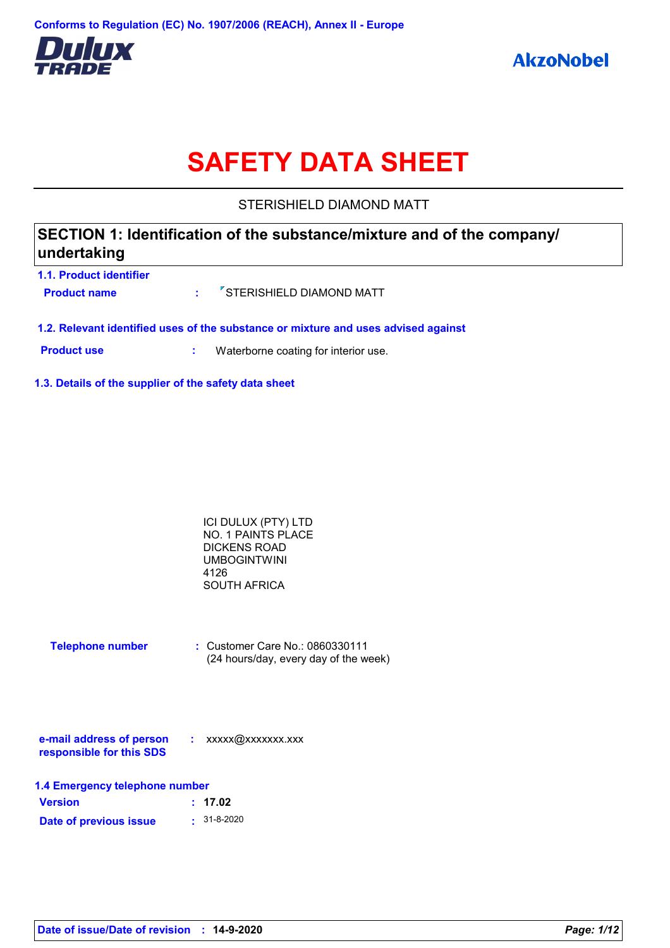

# **SAFETY DATA SHEET**

STERISHIELD DIAMOND MATT

| undertaking             | SECTION 1: Identification of the substance/mixture and of the company/ |
|-------------------------|------------------------------------------------------------------------|
| 1.1. Product identifier |                                                                        |
| <b>Product name</b>     | <sup>7</sup> STERISHIELD DIAMOND MATT                                  |

**1.2. Relevant identified uses of the substance or mixture and uses advised against**

**Product use <b>:** Waterborne coating for interior use.

**1.3. Details of the supplier of the safety data sheet**

| ICI DULUX (PTY) LTD |  |
|---------------------|--|
| NO. 1 PAINTS PLACE  |  |
| DICKENS ROAD        |  |
| UMBOGINTWINI        |  |
| 4126                |  |
| SOUTH AFRICA        |  |

| <b>Telephone number</b> | $\therefore$ Customer Care No.: 0860330111 |
|-------------------------|--------------------------------------------|
|                         | (24 hours/day, every day of the week)      |

| e-mail address of person | xxxxx@xxxxxxx.xxx |
|--------------------------|-------------------|
| responsible for this SDS |                   |

| 1.4 Emergency telephone number |                   |  |
|--------------------------------|-------------------|--|
| <b>Version</b>                 | : 17.02           |  |
| Date of previous issue         | $\cdot$ 31-8-2020 |  |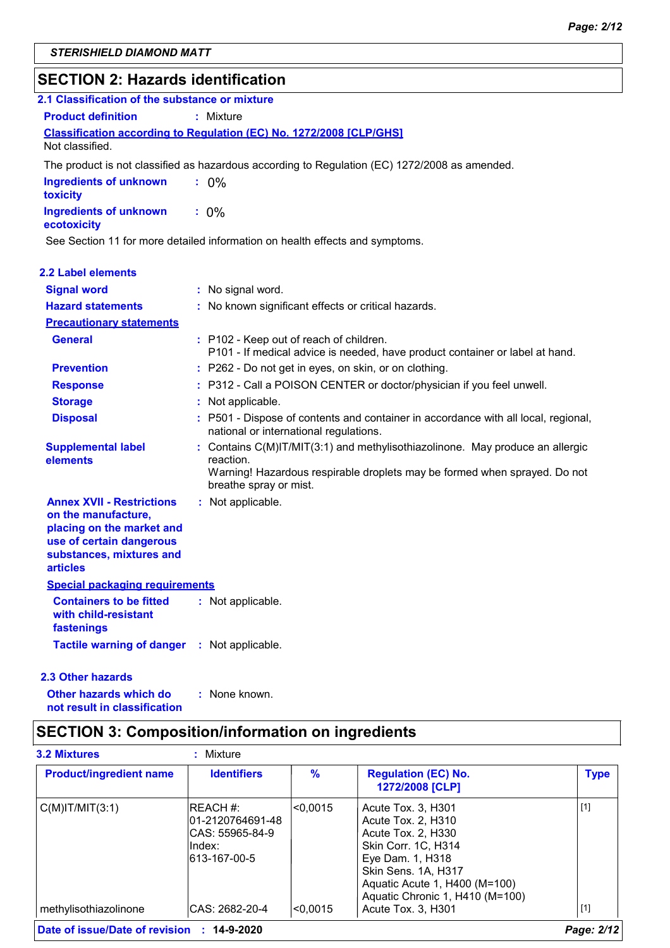# **SECTION 2: Hazards identification**

| 2.1 Classification of the substance or mixture                                                                                                                  |                                                                                                                                                                                                   |
|-----------------------------------------------------------------------------------------------------------------------------------------------------------------|---------------------------------------------------------------------------------------------------------------------------------------------------------------------------------------------------|
| <b>Product definition</b>                                                                                                                                       | $:$ Mixture                                                                                                                                                                                       |
|                                                                                                                                                                 | Classification according to Regulation (EC) No. 1272/2008 [CLP/GHS]                                                                                                                               |
| Not classified.                                                                                                                                                 |                                                                                                                                                                                                   |
|                                                                                                                                                                 | The product is not classified as hazardous according to Regulation (EC) 1272/2008 as amended.                                                                                                     |
| <b>Ingredients of unknown</b><br>toxicity                                                                                                                       | $: 0\%$                                                                                                                                                                                           |
| <b>Ingredients of unknown</b><br>ecotoxicity                                                                                                                    | $: 0\%$                                                                                                                                                                                           |
|                                                                                                                                                                 | See Section 11 for more detailed information on health effects and symptoms.                                                                                                                      |
| <b>2.2 Label elements</b>                                                                                                                                       |                                                                                                                                                                                                   |
| <b>Signal word</b>                                                                                                                                              | : No signal word.                                                                                                                                                                                 |
| <b>Hazard statements</b>                                                                                                                                        | : No known significant effects or critical hazards.                                                                                                                                               |
| <b>Precautionary statements</b>                                                                                                                                 |                                                                                                                                                                                                   |
| <b>General</b>                                                                                                                                                  | : P102 - Keep out of reach of children.<br>P101 - If medical advice is needed, have product container or label at hand.                                                                           |
| <b>Prevention</b>                                                                                                                                               | : P262 - Do not get in eyes, on skin, or on clothing.                                                                                                                                             |
| <b>Response</b>                                                                                                                                                 | : P312 - Call a POISON CENTER or doctor/physician if you feel unwell.                                                                                                                             |
| <b>Storage</b>                                                                                                                                                  | : Not applicable.                                                                                                                                                                                 |
| <b>Disposal</b>                                                                                                                                                 | : P501 - Dispose of contents and container in accordance with all local, regional,<br>national or international regulations.                                                                      |
| <b>Supplemental label</b><br>elements                                                                                                                           | : Contains C(M)IT/MIT(3:1) and methylisothiazolinone. May produce an allergic<br>reaction.<br>Warning! Hazardous respirable droplets may be formed when sprayed. Do not<br>breathe spray or mist. |
| <b>Annex XVII - Restrictions</b><br>on the manufacture,<br>placing on the market and<br>use of certain dangerous<br>substances, mixtures and<br><b>articles</b> | : Not applicable.                                                                                                                                                                                 |
| <b>Special packaging requirements</b>                                                                                                                           |                                                                                                                                                                                                   |
| <b>Containers to be fitted</b><br>with child-resistant<br>fastenings                                                                                            | : Not applicable.                                                                                                                                                                                 |
| Tactile warning of danger : Not applicable.                                                                                                                     |                                                                                                                                                                                                   |

### **2.3 Other hazards**

**Other hazards which do : not result in classification** : None known.

# **SECTION 3: Composition/information on ingredients**

| <b>Product/ingredient name</b> | <b>Identifiers</b>                                                           | $\frac{9}{6}$ | <b>Regulation (EC) No.</b><br>1272/2008 [CLP]                                                                                                                                                        | <b>Type</b> |
|--------------------------------|------------------------------------------------------------------------------|---------------|------------------------------------------------------------------------------------------------------------------------------------------------------------------------------------------------------|-------------|
| $C(M)$ IT/MIT $(3:1)$          | IREACH #:<br>01-2120764691-48<br>ICAS: 55965-84-9<br>lIndex:<br>613-167-00-5 | $ <$ 0.0015   | Acute Tox. 3. H301<br>Acute Tox. 2. H310<br>Acute Tox. 2. H330<br>Skin Corr. 1C, H314<br>Eye Dam. 1, H318<br>Skin Sens. 1A, H317<br>Aquatic Acute 1, H400 (M=100)<br>Aquatic Chronic 1, H410 (M=100) | $\vert$ [1] |
| methylisothiazolinone          | CAS: 2682-20-4                                                               | l<0.0015      | Acute Tox. 3, H301                                                                                                                                                                                   | [1]         |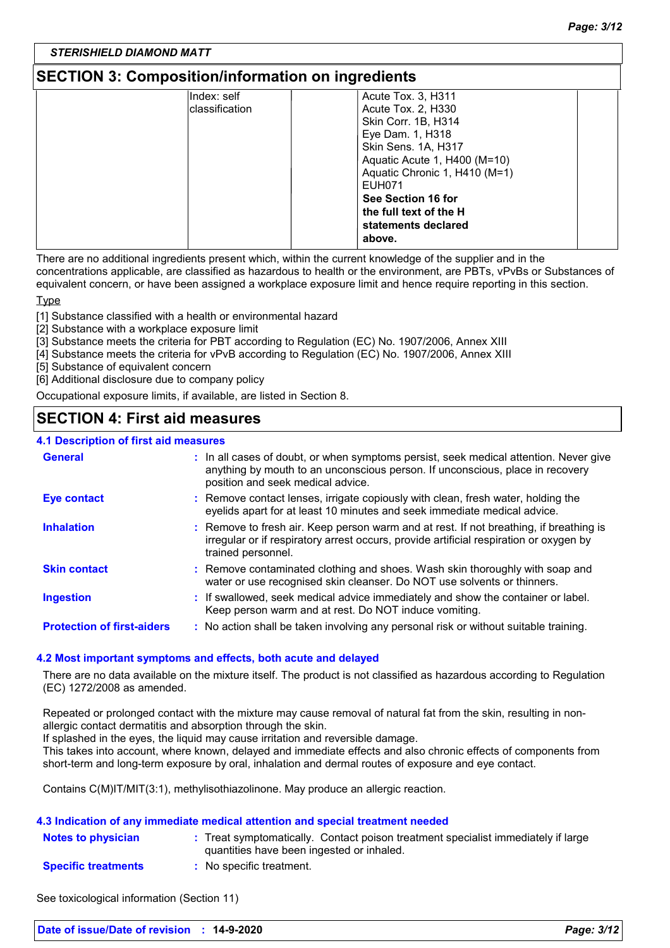### **SECTION 3: Composition/information on ingredients**

| Index: self    | Acute Tox. 3, H311            |  |
|----------------|-------------------------------|--|
| classification | Acute Tox. 2, H330            |  |
|                | Skin Corr. 1B, H314           |  |
|                | Eye Dam. 1, H318              |  |
|                | Skin Sens. 1A, H317           |  |
|                | Aquatic Acute 1, H400 (M=10)  |  |
|                | Aquatic Chronic 1, H410 (M=1) |  |
|                | <b>EUH071</b>                 |  |
|                | See Section 16 for            |  |
|                | the full text of the H        |  |
|                | statements declared           |  |
|                | above.                        |  |

There are no additional ingredients present which, within the current knowledge of the supplier and in the concentrations applicable, are classified as hazardous to health or the environment, are PBTs, vPvBs or Substances of equivalent concern, or have been assigned a workplace exposure limit and hence require reporting in this section.

Type

[1] Substance classified with a health or environmental hazard

[2] Substance with a workplace exposure limit

[3] Substance meets the criteria for PBT according to Regulation (EC) No. 1907/2006, Annex XIII

[4] Substance meets the criteria for vPvB according to Regulation (EC) No. 1907/2006, Annex XIII

[5] Substance of equivalent concern

[6] Additional disclosure due to company policy

Occupational exposure limits, if available, are listed in Section 8.

### **SECTION 4: First aid measures**

#### **4.1 Description of first aid measures**

| <b>General</b>                    | : In all cases of doubt, or when symptoms persist, seek medical attention. Never give<br>anything by mouth to an unconscious person. If unconscious, place in recovery<br>position and seek medical advice. |
|-----------------------------------|-------------------------------------------------------------------------------------------------------------------------------------------------------------------------------------------------------------|
| <b>Eye contact</b>                | : Remove contact lenses, irrigate copiously with clean, fresh water, holding the<br>eyelids apart for at least 10 minutes and seek immediate medical advice.                                                |
| <b>Inhalation</b>                 | : Remove to fresh air. Keep person warm and at rest. If not breathing, if breathing is<br>irregular or if respiratory arrest occurs, provide artificial respiration or oxygen by<br>trained personnel.      |
| <b>Skin contact</b>               | : Remove contaminated clothing and shoes. Wash skin thoroughly with soap and<br>water or use recognised skin cleanser. Do NOT use solvents or thinners.                                                     |
| <b>Ingestion</b>                  | : If swallowed, seek medical advice immediately and show the container or label.<br>Keep person warm and at rest. Do NOT induce vomiting.                                                                   |
| <b>Protection of first-aiders</b> | : No action shall be taken involving any personal risk or without suitable training.                                                                                                                        |

#### **4.2 Most important symptoms and effects, both acute and delayed**

There are no data available on the mixture itself. The product is not classified as hazardous according to Regulation (EC) 1272/2008 as amended.

Repeated or prolonged contact with the mixture may cause removal of natural fat from the skin, resulting in nonallergic contact dermatitis and absorption through the skin.

If splashed in the eyes, the liquid may cause irritation and reversible damage.

This takes into account, where known, delayed and immediate effects and also chronic effects of components from short-term and long-term exposure by oral, inhalation and dermal routes of exposure and eye contact.

Contains C(M)IT/MIT(3:1), methylisothiazolinone. May produce an allergic reaction.

#### **4.3 Indication of any immediate medical attention and special treatment needed**

| <b>Notes to physician</b>  | : Treat symptomatically. Contact poison treatment specialist immediately if large |
|----------------------------|-----------------------------------------------------------------------------------|
|                            | quantities have been ingested or inhaled.                                         |
| <b>Specific treatments</b> | No specific treatment.                                                            |

See toxicological information (Section 11)

| Date of issue/Date of revision : 14-9-2020 |  | Page: 3/12 |
|--------------------------------------------|--|------------|
|--------------------------------------------|--|------------|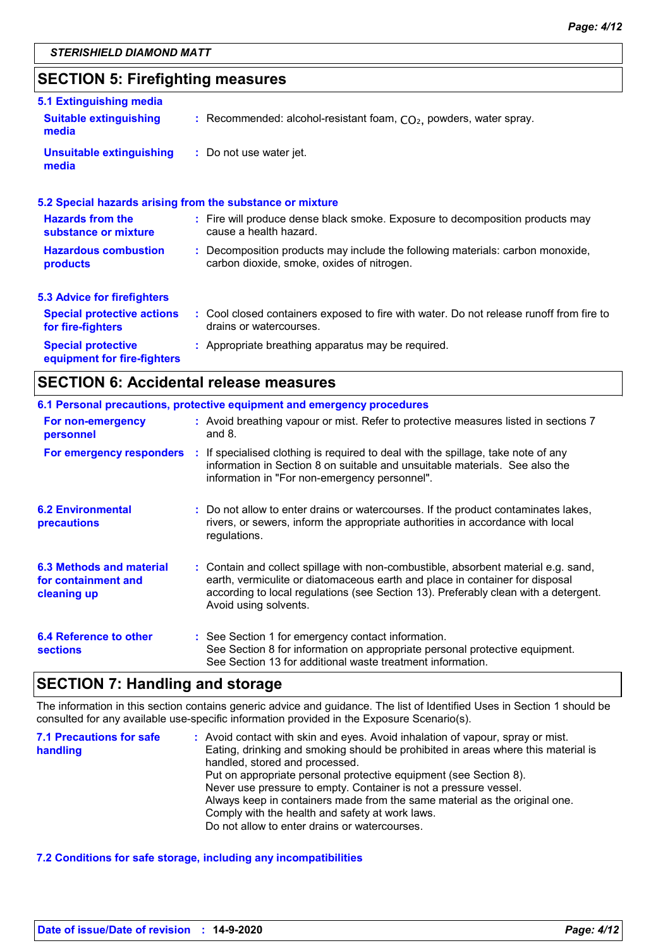# **SECTION 5: Firefighting measures**

| 5.1 Extinguishing media                                  |                                                                                                                              |
|----------------------------------------------------------|------------------------------------------------------------------------------------------------------------------------------|
| <b>Suitable extinguishing</b><br>media                   | : Recommended: alcohol-resistant foam, $CO2$ , powders, water spray.                                                         |
| Unsuitable extinguishing<br>media                        | : Do not use water jet.                                                                                                      |
|                                                          | 5.2 Special hazards arising from the substance or mixture                                                                    |
| <b>Hazards from the</b><br>substance or mixture          | : Fire will produce dense black smoke. Exposure to decomposition products may<br>cause a health hazard.                      |
| <b>Hazardous combustion</b><br>products                  | : Decomposition products may include the following materials: carbon monoxide,<br>carbon dioxide, smoke, oxides of nitrogen. |
| 5.3 Advice for firefighters                              |                                                                                                                              |
| <b>Special protective actions</b><br>for fire-fighters   | : Cool closed containers exposed to fire with water. Do not release runoff from fire to<br>drains or watercourses.           |
| <b>Special protective</b><br>equipment for fire-fighters | : Appropriate breathing apparatus may be required.                                                                           |

### **SECTION 6: Accidental release measures**

|                                                                       | 6.1 Personal precautions, protective equipment and emergency procedures                                                                                                                                                                                                            |
|-----------------------------------------------------------------------|------------------------------------------------------------------------------------------------------------------------------------------------------------------------------------------------------------------------------------------------------------------------------------|
| For non-emergency<br>personnel                                        | : Avoid breathing vapour or mist. Refer to protective measures listed in sections 7<br>and $8.$                                                                                                                                                                                    |
|                                                                       | For emergency responders : If specialised clothing is required to deal with the spillage, take note of any<br>information in Section 8 on suitable and unsuitable materials. See also the<br>information in "For non-emergency personnel".                                         |
| <b>6.2 Environmental</b><br>precautions                               | : Do not allow to enter drains or watercourses. If the product contaminates lakes,<br>rivers, or sewers, inform the appropriate authorities in accordance with local<br>regulations.                                                                                               |
| <b>6.3 Methods and material</b><br>for containment and<br>cleaning up | : Contain and collect spillage with non-combustible, absorbent material e.g. sand,<br>earth, vermiculite or diatomaceous earth and place in container for disposal<br>according to local regulations (see Section 13). Preferably clean with a detergent.<br>Avoid using solvents. |
| 6.4 Reference to other<br><b>sections</b>                             | : See Section 1 for emergency contact information.<br>See Section 8 for information on appropriate personal protective equipment.<br>See Section 13 for additional waste treatment information.                                                                                    |

### **SECTION 7: Handling and storage**

The information in this section contains generic advice and guidance. The list of Identified Uses in Section 1 should be consulted for any available use-specific information provided in the Exposure Scenario(s).

| <b>7.1 Precautions for safe</b> | : Avoid contact with skin and eyes. Avoid inhalation of vapour, spray or mist.    |
|---------------------------------|-----------------------------------------------------------------------------------|
| handling                        | Eating, drinking and smoking should be prohibited in areas where this material is |
|                                 | handled, stored and processed.                                                    |
|                                 | Put on appropriate personal protective equipment (see Section 8).                 |
|                                 | Never use pressure to empty. Container is not a pressure vessel.                  |
|                                 | Always keep in containers made from the same material as the original one.        |
|                                 | Comply with the health and safety at work laws.                                   |
|                                 | Do not allow to enter drains or watercourses.                                     |

### **7.2 Conditions for safe storage, including any incompatibilities**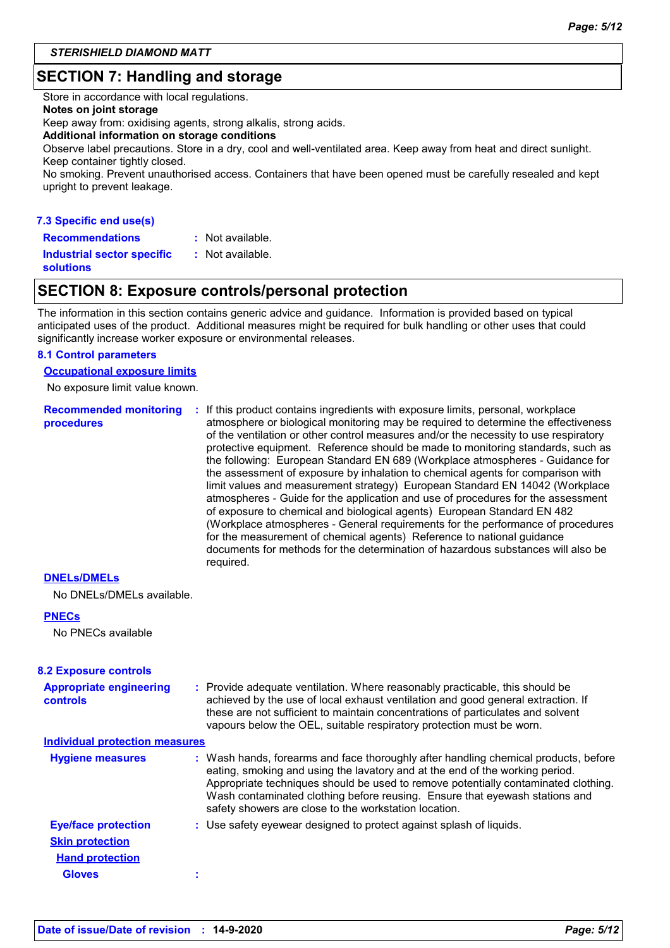### **SECTION 7: Handling and storage**

Store in accordance with local regulations.

### **Notes on joint storage**

Keep away from: oxidising agents, strong alkalis, strong acids.

#### **Additional information on storage conditions**

Observe label precautions. Store in a dry, cool and well-ventilated area. Keep away from heat and direct sunlight. Keep container tightly closed.

No smoking. Prevent unauthorised access. Containers that have been opened must be carefully resealed and kept upright to prevent leakage.

### **7.3 Specific end use(s) Recommendations :**

: Not available.

**Industrial sector specific : solutions**

### **SECTION 8: Exposure controls/personal protection**

: Not available.

The information in this section contains generic advice and guidance. Information is provided based on typical anticipated uses of the product. Additional measures might be required for bulk handling or other uses that could significantly increase worker exposure or environmental releases.

### **8.1 Control parameters**

**Occupational exposure limits**

No exposure limit value known.

**Recommended monitoring procedures :** If this product contains ingredients with exposure limits, personal, workplace atmosphere or biological monitoring may be required to determine the effectiveness of the ventilation or other control measures and/or the necessity to use respiratory protective equipment. Reference should be made to monitoring standards, such as the following: European Standard EN 689 (Workplace atmospheres - Guidance for the assessment of exposure by inhalation to chemical agents for comparison with limit values and measurement strategy) European Standard EN 14042 (Workplace atmospheres - Guide for the application and use of procedures for the assessment of exposure to chemical and biological agents) European Standard EN 482 (Workplace atmospheres - General requirements for the performance of procedures for the measurement of chemical agents) Reference to national guidance documents for methods for the determination of hazardous substances will also be required.

#### **DNELs/DMELs**

No DNELs/DMELs available.

#### **PNECs**

No PNECs available

| <b>8.2 Exposure controls</b>               |                                                                                                                                                                                                                                                                                                                                                                                                   |
|--------------------------------------------|---------------------------------------------------------------------------------------------------------------------------------------------------------------------------------------------------------------------------------------------------------------------------------------------------------------------------------------------------------------------------------------------------|
| <b>Appropriate engineering</b><br>controls | : Provide adequate ventilation. Where reasonably practicable, this should be<br>achieved by the use of local exhaust ventilation and good general extraction. If<br>these are not sufficient to maintain concentrations of particulates and solvent<br>vapours below the OEL, suitable respiratory protection must be worn.                                                                       |
| <b>Individual protection measures</b>      |                                                                                                                                                                                                                                                                                                                                                                                                   |
| <b>Hygiene measures</b>                    | : Wash hands, forearms and face thoroughly after handling chemical products, before<br>eating, smoking and using the lavatory and at the end of the working period.<br>Appropriate techniques should be used to remove potentially contaminated clothing.<br>Wash contaminated clothing before reusing. Ensure that eyewash stations and<br>safety showers are close to the workstation location. |
| <b>Eye/face protection</b>                 | : Use safety eyewear designed to protect against splash of liquids.                                                                                                                                                                                                                                                                                                                               |
| <b>Skin protection</b>                     |                                                                                                                                                                                                                                                                                                                                                                                                   |
| <b>Hand protection</b>                     |                                                                                                                                                                                                                                                                                                                                                                                                   |
| <b>Gloves</b>                              |                                                                                                                                                                                                                                                                                                                                                                                                   |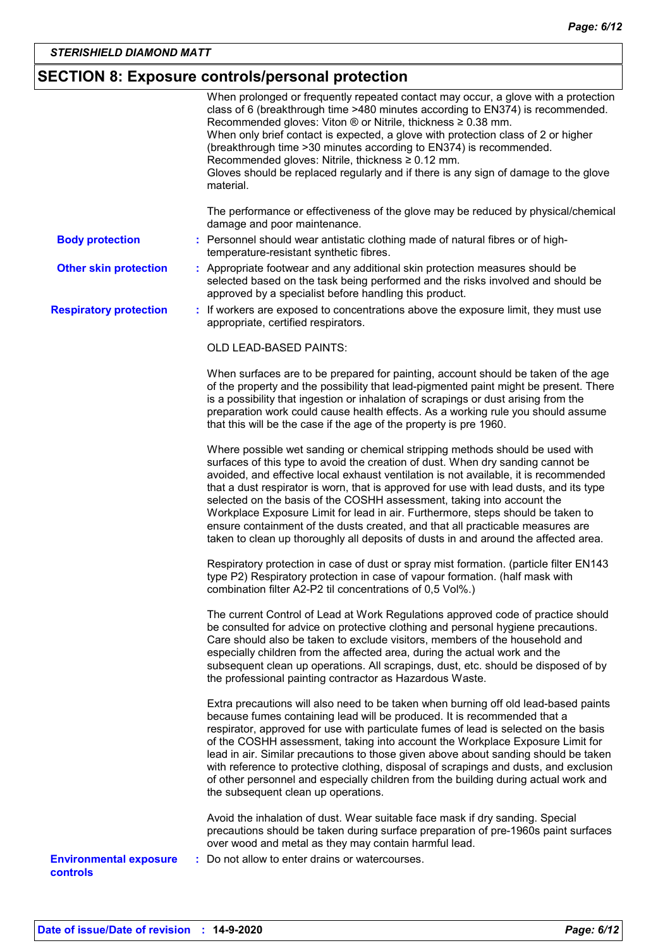# **SECTION 8: Exposure controls/personal protection**

| The performance or effectiveness of the glove may be reduced by physical/chemical<br>damage and poor maintenance.<br>: Personnel should wear antistatic clothing made of natural fibres or of high-<br><b>Body protection</b><br>temperature-resistant synthetic fibres.<br><b>Other skin protection</b><br>: Appropriate footwear and any additional skin protection measures should be<br>selected based on the task being performed and the risks involved and should be<br>approved by a specialist before handling this product.<br><b>Respiratory protection</b><br>: If workers are exposed to concentrations above the exposure limit, they must use<br>appropriate, certified respirators.<br>OLD LEAD-BASED PAINTS:<br>When surfaces are to be prepared for painting, account should be taken of the age<br>of the property and the possibility that lead-pigmented paint might be present. There<br>is a possibility that ingestion or inhalation of scrapings or dust arising from the<br>preparation work could cause health effects. As a working rule you should assume<br>that this will be the case if the age of the property is pre 1960.<br>Where possible wet sanding or chemical stripping methods should be used with<br>surfaces of this type to avoid the creation of dust. When dry sanding cannot be<br>avoided, and effective local exhaust ventilation is not available, it is recommended<br>that a dust respirator is worn, that is approved for use with lead dusts, and its type<br>selected on the basis of the COSHH assessment, taking into account the<br>Workplace Exposure Limit for lead in air. Furthermore, steps should be taken to<br>ensure containment of the dusts created, and that all practicable measures are<br>taken to clean up thoroughly all deposits of dusts in and around the affected area.<br>Respiratory protection in case of dust or spray mist formation. (particle filter EN143<br>type P2) Respiratory protection in case of vapour formation. (half mask with<br>combination filter A2-P2 til concentrations of 0,5 Vol%.)<br>The current Control of Lead at Work Regulations approved code of practice should<br>be consulted for advice on protective clothing and personal hygiene precautions.<br>Care should also be taken to exclude visitors, members of the household and<br>especially children from the affected area, during the actual work and the<br>subsequent clean up operations. All scrapings, dust, etc. should be disposed of by<br>the professional painting contractor as Hazardous Waste.<br>Extra precautions will also need to be taken when burning off old lead-based paints<br>because fumes containing lead will be produced. It is recommended that a<br>respirator, approved for use with particulate fumes of lead is selected on the basis<br>of the COSHH assessment, taking into account the Workplace Exposure Limit for<br>lead in air. Similar precautions to those given above about sanding should be taken<br>with reference to protective clothing, disposal of scrapings and dusts, and exclusion<br>of other personnel and especially children from the building during actual work and<br>the subsequent clean up operations.<br>Avoid the inhalation of dust. Wear suitable face mask if dry sanding. Special<br>precautions should be taken during surface preparation of pre-1960s paint surfaces<br>over wood and metal as they may contain harmful lead.<br>: Do not allow to enter drains or watercourses.<br><b>Environmental exposure</b><br>controls | material. | When prolonged or frequently repeated contact may occur, a glove with a protection<br>class of 6 (breakthrough time >480 minutes according to EN374) is recommended.<br>Recommended gloves: Viton ® or Nitrile, thickness ≥ 0.38 mm.<br>When only brief contact is expected, a glove with protection class of 2 or higher<br>(breakthrough time > 30 minutes according to EN374) is recommended.<br>Recommended gloves: Nitrile, thickness ≥ 0.12 mm.<br>Gloves should be replaced regularly and if there is any sign of damage to the glove |
|---------------------------------------------------------------------------------------------------------------------------------------------------------------------------------------------------------------------------------------------------------------------------------------------------------------------------------------------------------------------------------------------------------------------------------------------------------------------------------------------------------------------------------------------------------------------------------------------------------------------------------------------------------------------------------------------------------------------------------------------------------------------------------------------------------------------------------------------------------------------------------------------------------------------------------------------------------------------------------------------------------------------------------------------------------------------------------------------------------------------------------------------------------------------------------------------------------------------------------------------------------------------------------------------------------------------------------------------------------------------------------------------------------------------------------------------------------------------------------------------------------------------------------------------------------------------------------------------------------------------------------------------------------------------------------------------------------------------------------------------------------------------------------------------------------------------------------------------------------------------------------------------------------------------------------------------------------------------------------------------------------------------------------------------------------------------------------------------------------------------------------------------------------------------------------------------------------------------------------------------------------------------------------------------------------------------------------------------------------------------------------------------------------------------------------------------------------------------------------------------------------------------------------------------------------------------------------------------------------------------------------------------------------------------------------------------------------------------------------------------------------------------------------------------------------------------------------------------------------------------------------------------------------------------------------------------------------------------------------------------------------------------------------------------------------------------------------------------------------------------------------------------------------------------------------------------------------------------------------------------------------------------------------------------------------------------------------------------------------------------------------------------------------------------------------------------------------------------------------------------------------------------------------------------------------------------------------|-----------|----------------------------------------------------------------------------------------------------------------------------------------------------------------------------------------------------------------------------------------------------------------------------------------------------------------------------------------------------------------------------------------------------------------------------------------------------------------------------------------------------------------------------------------------|
|                                                                                                                                                                                                                                                                                                                                                                                                                                                                                                                                                                                                                                                                                                                                                                                                                                                                                                                                                                                                                                                                                                                                                                                                                                                                                                                                                                                                                                                                                                                                                                                                                                                                                                                                                                                                                                                                                                                                                                                                                                                                                                                                                                                                                                                                                                                                                                                                                                                                                                                                                                                                                                                                                                                                                                                                                                                                                                                                                                                                                                                                                                                                                                                                                                                                                                                                                                                                                                                                                                                                                                                 |           |                                                                                                                                                                                                                                                                                                                                                                                                                                                                                                                                              |
|                                                                                                                                                                                                                                                                                                                                                                                                                                                                                                                                                                                                                                                                                                                                                                                                                                                                                                                                                                                                                                                                                                                                                                                                                                                                                                                                                                                                                                                                                                                                                                                                                                                                                                                                                                                                                                                                                                                                                                                                                                                                                                                                                                                                                                                                                                                                                                                                                                                                                                                                                                                                                                                                                                                                                                                                                                                                                                                                                                                                                                                                                                                                                                                                                                                                                                                                                                                                                                                                                                                                                                                 |           |                                                                                                                                                                                                                                                                                                                                                                                                                                                                                                                                              |
|                                                                                                                                                                                                                                                                                                                                                                                                                                                                                                                                                                                                                                                                                                                                                                                                                                                                                                                                                                                                                                                                                                                                                                                                                                                                                                                                                                                                                                                                                                                                                                                                                                                                                                                                                                                                                                                                                                                                                                                                                                                                                                                                                                                                                                                                                                                                                                                                                                                                                                                                                                                                                                                                                                                                                                                                                                                                                                                                                                                                                                                                                                                                                                                                                                                                                                                                                                                                                                                                                                                                                                                 |           |                                                                                                                                                                                                                                                                                                                                                                                                                                                                                                                                              |
|                                                                                                                                                                                                                                                                                                                                                                                                                                                                                                                                                                                                                                                                                                                                                                                                                                                                                                                                                                                                                                                                                                                                                                                                                                                                                                                                                                                                                                                                                                                                                                                                                                                                                                                                                                                                                                                                                                                                                                                                                                                                                                                                                                                                                                                                                                                                                                                                                                                                                                                                                                                                                                                                                                                                                                                                                                                                                                                                                                                                                                                                                                                                                                                                                                                                                                                                                                                                                                                                                                                                                                                 |           |                                                                                                                                                                                                                                                                                                                                                                                                                                                                                                                                              |
|                                                                                                                                                                                                                                                                                                                                                                                                                                                                                                                                                                                                                                                                                                                                                                                                                                                                                                                                                                                                                                                                                                                                                                                                                                                                                                                                                                                                                                                                                                                                                                                                                                                                                                                                                                                                                                                                                                                                                                                                                                                                                                                                                                                                                                                                                                                                                                                                                                                                                                                                                                                                                                                                                                                                                                                                                                                                                                                                                                                                                                                                                                                                                                                                                                                                                                                                                                                                                                                                                                                                                                                 |           |                                                                                                                                                                                                                                                                                                                                                                                                                                                                                                                                              |
|                                                                                                                                                                                                                                                                                                                                                                                                                                                                                                                                                                                                                                                                                                                                                                                                                                                                                                                                                                                                                                                                                                                                                                                                                                                                                                                                                                                                                                                                                                                                                                                                                                                                                                                                                                                                                                                                                                                                                                                                                                                                                                                                                                                                                                                                                                                                                                                                                                                                                                                                                                                                                                                                                                                                                                                                                                                                                                                                                                                                                                                                                                                                                                                                                                                                                                                                                                                                                                                                                                                                                                                 |           |                                                                                                                                                                                                                                                                                                                                                                                                                                                                                                                                              |
|                                                                                                                                                                                                                                                                                                                                                                                                                                                                                                                                                                                                                                                                                                                                                                                                                                                                                                                                                                                                                                                                                                                                                                                                                                                                                                                                                                                                                                                                                                                                                                                                                                                                                                                                                                                                                                                                                                                                                                                                                                                                                                                                                                                                                                                                                                                                                                                                                                                                                                                                                                                                                                                                                                                                                                                                                                                                                                                                                                                                                                                                                                                                                                                                                                                                                                                                                                                                                                                                                                                                                                                 |           |                                                                                                                                                                                                                                                                                                                                                                                                                                                                                                                                              |
|                                                                                                                                                                                                                                                                                                                                                                                                                                                                                                                                                                                                                                                                                                                                                                                                                                                                                                                                                                                                                                                                                                                                                                                                                                                                                                                                                                                                                                                                                                                                                                                                                                                                                                                                                                                                                                                                                                                                                                                                                                                                                                                                                                                                                                                                                                                                                                                                                                                                                                                                                                                                                                                                                                                                                                                                                                                                                                                                                                                                                                                                                                                                                                                                                                                                                                                                                                                                                                                                                                                                                                                 |           |                                                                                                                                                                                                                                                                                                                                                                                                                                                                                                                                              |
|                                                                                                                                                                                                                                                                                                                                                                                                                                                                                                                                                                                                                                                                                                                                                                                                                                                                                                                                                                                                                                                                                                                                                                                                                                                                                                                                                                                                                                                                                                                                                                                                                                                                                                                                                                                                                                                                                                                                                                                                                                                                                                                                                                                                                                                                                                                                                                                                                                                                                                                                                                                                                                                                                                                                                                                                                                                                                                                                                                                                                                                                                                                                                                                                                                                                                                                                                                                                                                                                                                                                                                                 |           |                                                                                                                                                                                                                                                                                                                                                                                                                                                                                                                                              |
|                                                                                                                                                                                                                                                                                                                                                                                                                                                                                                                                                                                                                                                                                                                                                                                                                                                                                                                                                                                                                                                                                                                                                                                                                                                                                                                                                                                                                                                                                                                                                                                                                                                                                                                                                                                                                                                                                                                                                                                                                                                                                                                                                                                                                                                                                                                                                                                                                                                                                                                                                                                                                                                                                                                                                                                                                                                                                                                                                                                                                                                                                                                                                                                                                                                                                                                                                                                                                                                                                                                                                                                 |           |                                                                                                                                                                                                                                                                                                                                                                                                                                                                                                                                              |
|                                                                                                                                                                                                                                                                                                                                                                                                                                                                                                                                                                                                                                                                                                                                                                                                                                                                                                                                                                                                                                                                                                                                                                                                                                                                                                                                                                                                                                                                                                                                                                                                                                                                                                                                                                                                                                                                                                                                                                                                                                                                                                                                                                                                                                                                                                                                                                                                                                                                                                                                                                                                                                                                                                                                                                                                                                                                                                                                                                                                                                                                                                                                                                                                                                                                                                                                                                                                                                                                                                                                                                                 |           |                                                                                                                                                                                                                                                                                                                                                                                                                                                                                                                                              |
|                                                                                                                                                                                                                                                                                                                                                                                                                                                                                                                                                                                                                                                                                                                                                                                                                                                                                                                                                                                                                                                                                                                                                                                                                                                                                                                                                                                                                                                                                                                                                                                                                                                                                                                                                                                                                                                                                                                                                                                                                                                                                                                                                                                                                                                                                                                                                                                                                                                                                                                                                                                                                                                                                                                                                                                                                                                                                                                                                                                                                                                                                                                                                                                                                                                                                                                                                                                                                                                                                                                                                                                 |           |                                                                                                                                                                                                                                                                                                                                                                                                                                                                                                                                              |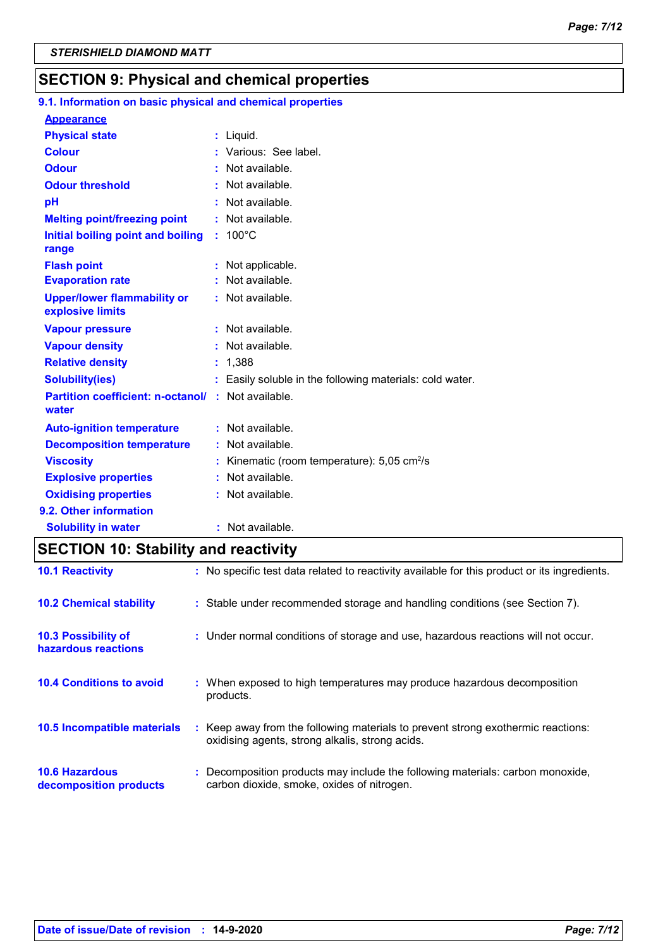### **SECTION 9: Physical and chemical properties**

### **9.1. Information on basic physical and chemical properties**

| <b>Appearance</b>                                                  |    |                                                          |
|--------------------------------------------------------------------|----|----------------------------------------------------------|
| <b>Physical state</b>                                              |    | : Liquid.                                                |
| <b>Colour</b>                                                      |    | Various: See label.                                      |
| <b>Odour</b>                                                       |    | $:$ Not available.                                       |
| <b>Odour threshold</b>                                             |    | Not available.                                           |
| рH                                                                 |    | : Not available.                                         |
| <b>Melting point/freezing point</b>                                |    | : Not available.                                         |
| Initial boiling point and boiling<br>range                         |    | $: 100^{\circ}$ C                                        |
| <b>Flash point</b>                                                 |    | Not applicable.                                          |
| <b>Evaporation rate</b>                                            |    | : Not available.                                         |
| <b>Upper/lower flammability or</b><br>explosive limits             |    | : Not available.                                         |
| <b>Vapour pressure</b>                                             |    | Not available.                                           |
| <b>Vapour density</b>                                              |    | : Not available.                                         |
| <b>Relative density</b>                                            |    | : 1,388                                                  |
| <b>Solubility(ies)</b>                                             |    | : Easily soluble in the following materials: cold water. |
| <b>Partition coefficient: n-octanol/ : Not available.</b><br>water |    |                                                          |
| <b>Auto-ignition temperature</b>                                   |    | : Not available.                                         |
| <b>Decomposition temperature</b>                                   |    | $:$ Not available.                                       |
| <b>Viscosity</b>                                                   |    | Kinematic (room temperature): $5,05$ cm <sup>2</sup> /s  |
| <b>Explosive properties</b>                                        | ÷. | Not available.                                           |
| <b>Oxidising properties</b>                                        |    | : Not available.                                         |
| 9.2. Other information                                             |    |                                                          |
| <b>Solubility in water</b>                                         |    | : Not available.                                         |

# **SECTION 10: Stability and reactivity**

| <b>10.1 Reactivity</b>                            | : No specific test data related to reactivity available for this product or its ingredients.                                        |
|---------------------------------------------------|-------------------------------------------------------------------------------------------------------------------------------------|
| <b>10.2 Chemical stability</b>                    | : Stable under recommended storage and handling conditions (see Section 7).                                                         |
| <b>10.3 Possibility of</b><br>hazardous reactions | : Under normal conditions of storage and use, hazardous reactions will not occur.                                                   |
| <b>10.4 Conditions to avoid</b>                   | : When exposed to high temperatures may produce hazardous decomposition<br>products.                                                |
| 10.5 Incompatible materials                       | : Keep away from the following materials to prevent strong exothermic reactions:<br>oxidising agents, strong alkalis, strong acids. |
| <b>10.6 Hazardous</b><br>decomposition products   | : Decomposition products may include the following materials: carbon monoxide,<br>carbon dioxide, smoke, oxides of nitrogen.        |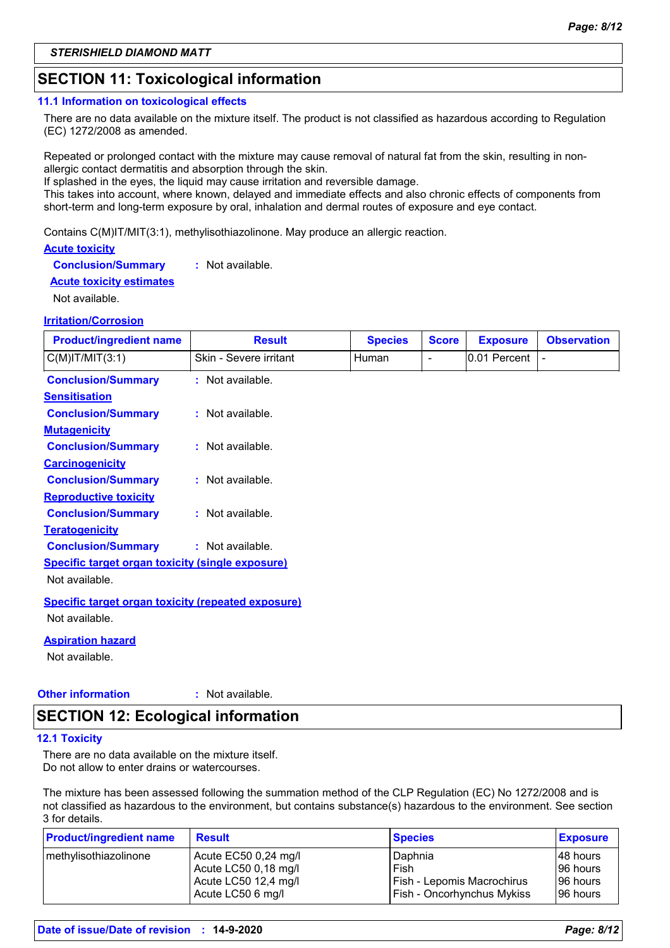### **SECTION 11: Toxicological information**

#### **11.1 Information on toxicological effects**

There are no data available on the mixture itself. The product is not classified as hazardous according to Regulation (EC) 1272/2008 as amended.

Repeated or prolonged contact with the mixture may cause removal of natural fat from the skin, resulting in nonallergic contact dermatitis and absorption through the skin.

If splashed in the eyes, the liquid may cause irritation and reversible damage.

This takes into account, where known, delayed and immediate effects and also chronic effects of components from short-term and long-term exposure by oral, inhalation and dermal routes of exposure and eye contact.

Contains C(M)IT/MIT(3:1), methylisothiazolinone. May produce an allergic reaction.

### **Acute toxicity**

**Conclusion/Summary :** Not available.

#### **Acute toxicity estimates**

Not available.

### **Irritation/Corrosion**

| <b>Product/ingredient name</b>                            | <b>Result</b>          | <b>Species</b> | <b>Score</b>             | <b>Exposure</b> | <b>Observation</b> |
|-----------------------------------------------------------|------------------------|----------------|--------------------------|-----------------|--------------------|
| $C(M)$ IT/MIT $(3:1)$                                     | Skin - Severe irritant | Human          | $\overline{\phantom{a}}$ | 0.01 Percent    |                    |
| <b>Conclusion/Summary</b>                                 | $:$ Not available.     |                |                          |                 |                    |
| <b>Sensitisation</b>                                      |                        |                |                          |                 |                    |
| <b>Conclusion/Summary</b>                                 | $:$ Not available.     |                |                          |                 |                    |
| <b>Mutagenicity</b>                                       |                        |                |                          |                 |                    |
| <b>Conclusion/Summary</b>                                 | $:$ Not available.     |                |                          |                 |                    |
| <b>Carcinogenicity</b>                                    |                        |                |                          |                 |                    |
| <b>Conclusion/Summary</b>                                 | : Not available.       |                |                          |                 |                    |
| <b>Reproductive toxicity</b>                              |                        |                |                          |                 |                    |
| <b>Conclusion/Summary</b>                                 | : Not available.       |                |                          |                 |                    |
| <b>Teratogenicity</b>                                     |                        |                |                          |                 |                    |
| <b>Conclusion/Summary</b>                                 | : Not available.       |                |                          |                 |                    |
| <b>Specific target organ toxicity (single exposure)</b>   |                        |                |                          |                 |                    |
| Not available.                                            |                        |                |                          |                 |                    |
| <b>Specific target organ toxicity (repeated exposure)</b> |                        |                |                          |                 |                    |
| Not available.                                            |                        |                |                          |                 |                    |

#### **Aspiration hazard**

Not available.

#### **Other information :** : Not available.

### **SECTION 12: Ecological information**

#### **12.1 Toxicity**

There are no data available on the mixture itself. Do not allow to enter drains or watercourses.

The mixture has been assessed following the summation method of the CLP Regulation (EC) No 1272/2008 and is not classified as hazardous to the environment, but contains substance(s) hazardous to the environment. See section 3 for details.

| <b>Product/ingredient name</b> | <b>Result</b>        | <b>Species</b>             | <b>Exposure</b> |
|--------------------------------|----------------------|----------------------------|-----------------|
| methylisothiazolinone          | Acute EC50 0,24 mg/l | Daphnia                    | 48 hours        |
|                                | Acute LC50 0,18 mg/l | Fish                       | 96 hours        |
|                                | Acute LC50 12,4 mg/l | Fish - Lepomis Macrochirus | 96 hours        |
|                                | Acute LC50 6 mg/l    | Fish - Oncorhynchus Mykiss | 196 hours       |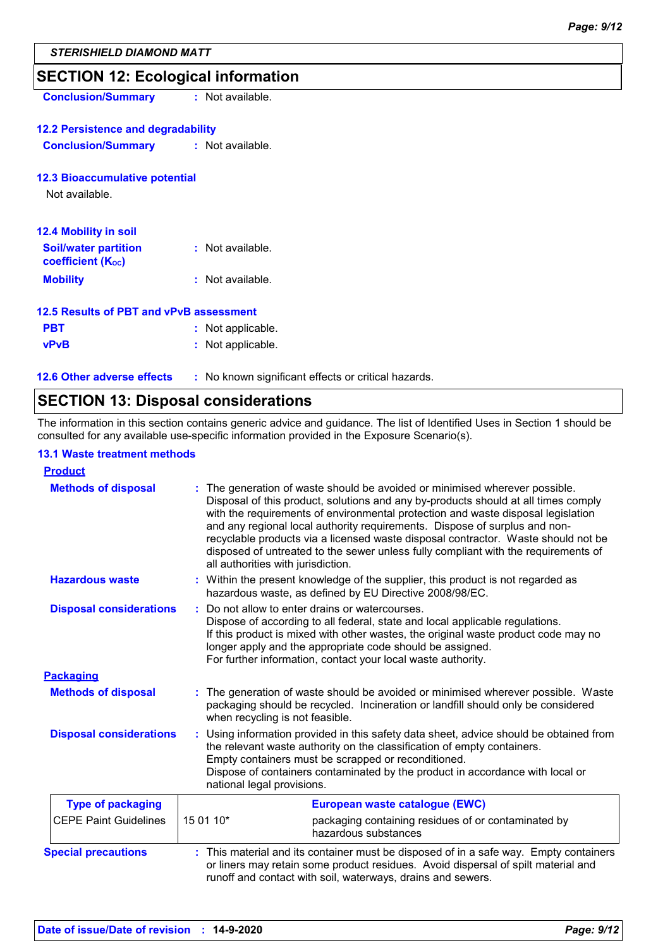### **SECTION 12: Ecological information**

**Conclusion/Summary :** Not available.

### **12.2 Persistence and degradability**

**Conclusion/Summary :** Not available.

#### **12.3 Bioaccumulative potential**

Not available.

| <b>12.4 Mobility in soil</b>                                         |                  |
|----------------------------------------------------------------------|------------------|
| <b>Soil/water partition</b><br><b>coefficient</b> (K <sub>oc</sub> ) | : Not available. |
| <b>Mobility</b>                                                      | : Not available. |

### **12.5 Results of PBT and vPvB assessment**

| <b>PBT</b>  | : Not applicable. |
|-------------|-------------------|
| <b>vPvB</b> | : Not applicable. |

**12.6 Other adverse effects** : No known significant effects or critical hazards.

### **SECTION 13: Disposal considerations**

The information in this section contains generic advice and guidance. The list of Identified Uses in Section 1 should be consulted for any available use-specific information provided in the Exposure Scenario(s).

### **13.1 Waste treatment methods**

| <b>Product</b>                 |           |                                                                                                                                                                                                                                                                                                                                                                                                                                                                                                                                                    |  |
|--------------------------------|-----------|----------------------------------------------------------------------------------------------------------------------------------------------------------------------------------------------------------------------------------------------------------------------------------------------------------------------------------------------------------------------------------------------------------------------------------------------------------------------------------------------------------------------------------------------------|--|
| <b>Methods of disposal</b>     |           | The generation of waste should be avoided or minimised wherever possible.<br>Disposal of this product, solutions and any by-products should at all times comply<br>with the requirements of environmental protection and waste disposal legislation<br>and any regional local authority requirements. Dispose of surplus and non-<br>recyclable products via a licensed waste disposal contractor. Waste should not be<br>disposed of untreated to the sewer unless fully compliant with the requirements of<br>all authorities with jurisdiction. |  |
| <b>Hazardous waste</b>         |           | : Within the present knowledge of the supplier, this product is not regarded as<br>hazardous waste, as defined by EU Directive 2008/98/EC.                                                                                                                                                                                                                                                                                                                                                                                                         |  |
| <b>Disposal considerations</b> |           | Do not allow to enter drains or watercourses.<br>Dispose of according to all federal, state and local applicable regulations.<br>If this product is mixed with other wastes, the original waste product code may no<br>longer apply and the appropriate code should be assigned.<br>For further information, contact your local waste authority.                                                                                                                                                                                                   |  |
| <b>Packaging</b>               |           |                                                                                                                                                                                                                                                                                                                                                                                                                                                                                                                                                    |  |
| <b>Methods of disposal</b>     |           | The generation of waste should be avoided or minimised wherever possible. Waste<br>packaging should be recycled. Incineration or landfill should only be considered<br>when recycling is not feasible.                                                                                                                                                                                                                                                                                                                                             |  |
| <b>Disposal considerations</b> |           | Using information provided in this safety data sheet, advice should be obtained from<br>the relevant waste authority on the classification of empty containers.<br>Empty containers must be scrapped or reconditioned.<br>Dispose of containers contaminated by the product in accordance with local or<br>national legal provisions.                                                                                                                                                                                                              |  |
| <b>Type of packaging</b>       |           | European waste catalogue (EWC)                                                                                                                                                                                                                                                                                                                                                                                                                                                                                                                     |  |
| <b>CEPE Paint Guidelines</b>   | 15 01 10* | packaging containing residues of or contaminated by<br>hazardous substances                                                                                                                                                                                                                                                                                                                                                                                                                                                                        |  |
| <b>Special precautions</b>     |           | This material and its container must be disposed of in a safe way. Empty containers<br>or liners may retain some product residues. Avoid dispersal of spilt material and<br>runoff and contact with soil, waterways, drains and sewers.                                                                                                                                                                                                                                                                                                            |  |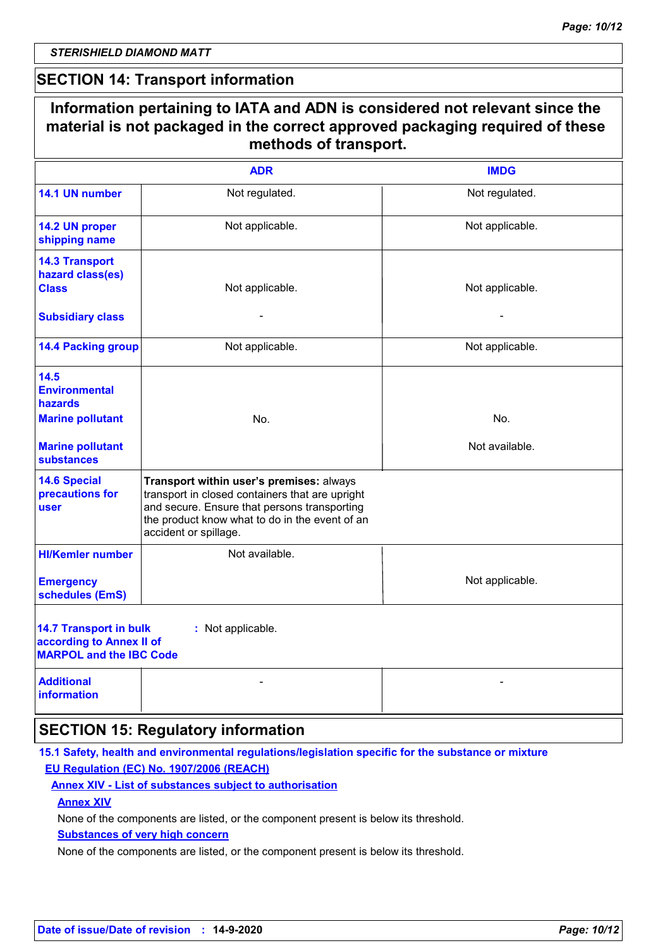### **SECTION 14: Transport information**

|                                                                                                                           | Information pertaining to IATA and ADN is considered not relevant since the<br>material is not packaged in the correct approved packaging required of these<br>methods of transport.                                   |                       |
|---------------------------------------------------------------------------------------------------------------------------|------------------------------------------------------------------------------------------------------------------------------------------------------------------------------------------------------------------------|-----------------------|
|                                                                                                                           | <b>ADR</b>                                                                                                                                                                                                             | <b>IMDG</b>           |
| 14.1 UN number                                                                                                            | Not regulated.                                                                                                                                                                                                         | Not regulated.        |
| 14.2 UN proper<br>shipping name                                                                                           | Not applicable.                                                                                                                                                                                                        | Not applicable.       |
| <b>14.3 Transport</b><br>hazard class(es)<br><b>Class</b><br><b>Subsidiary class</b>                                      | Not applicable.                                                                                                                                                                                                        | Not applicable.       |
| <b>14.4 Packing group</b>                                                                                                 | Not applicable.                                                                                                                                                                                                        | Not applicable.       |
| 14.5<br><b>Environmental</b><br><b>hazards</b><br><b>Marine pollutant</b><br><b>Marine pollutant</b><br><b>substances</b> | No.                                                                                                                                                                                                                    | No.<br>Not available. |
| <b>14.6 Special</b><br>precautions for<br>user                                                                            | Transport within user's premises: always<br>transport in closed containers that are upright<br>and secure. Ensure that persons transporting<br>the product know what to do in the event of an<br>accident or spillage. |                       |
| <b>HI/Kemler number</b><br><b>Emergency</b><br>schedules (EmS)                                                            | Not available.                                                                                                                                                                                                         | Not applicable.       |
| <b>14.7 Transport in bulk</b><br>according to Annex II of<br><b>MARPOL and the IBC Code</b>                               | : Not applicable.                                                                                                                                                                                                      |                       |
| <b>Additional</b><br><b>information</b>                                                                                   |                                                                                                                                                                                                                        |                       |
|                                                                                                                           | <b>SECTION 15: Regulatory information</b>                                                                                                                                                                              |                       |

### **15.1 Safety, health and environmental regulations/legislation specific for the substance or mixture EU Regulation (EC) No. 1907/2006 (REACH)**

### **Annex XIV - List of substances subject to authorisation**

### **Annex XIV**

None of the components are listed, or the component present is below its threshold.

### **Substances of very high concern**

None of the components are listed, or the component present is below its threshold.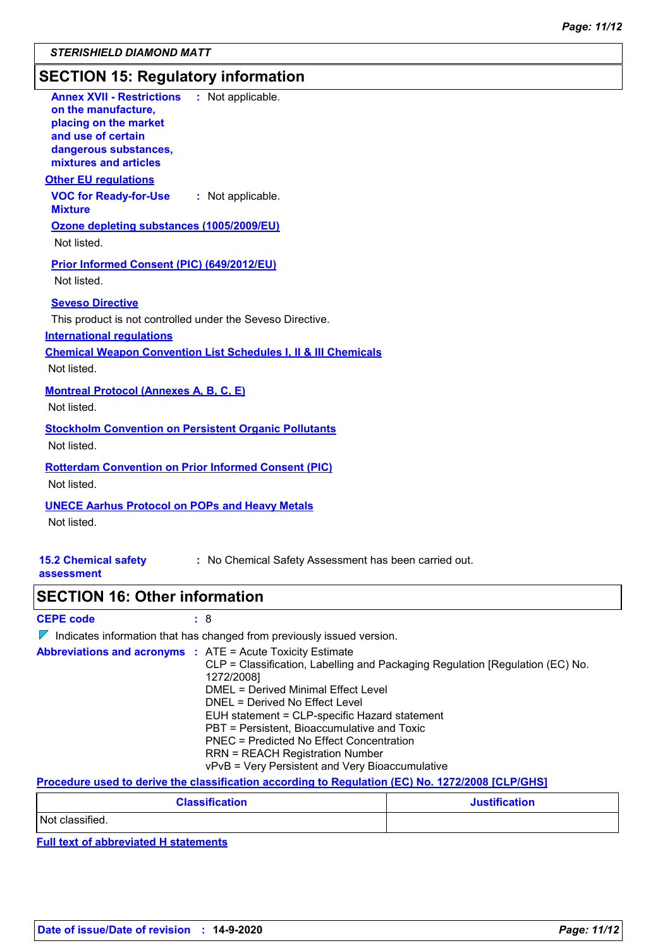# **SECTION 15: Regulatory information**

| <b>Annex XVII - Restrictions : Not applicable.</b><br>on the manufacture,<br>placing on the market<br>and use of certain<br>dangerous substances,<br>mixtures and articles                                                                                                                                                                                                                          |
|-----------------------------------------------------------------------------------------------------------------------------------------------------------------------------------------------------------------------------------------------------------------------------------------------------------------------------------------------------------------------------------------------------|
| <b>Other EU requlations</b>                                                                                                                                                                                                                                                                                                                                                                         |
| <b>VOC for Ready-for-Use</b><br>: Not applicable.<br><b>Mixture</b>                                                                                                                                                                                                                                                                                                                                 |
| Ozone depleting substances (1005/2009/EU)<br>Not listed.                                                                                                                                                                                                                                                                                                                                            |
| <b>Prior Informed Consent (PIC) (649/2012/EU)</b><br>Not listed.                                                                                                                                                                                                                                                                                                                                    |
| <b>Seveso Directive</b><br>This product is not controlled under the Seveso Directive.<br><b>International regulations</b><br><b>Chemical Weapon Convention List Schedules I, II &amp; III Chemicals</b>                                                                                                                                                                                             |
| Not listed.                                                                                                                                                                                                                                                                                                                                                                                         |
| <b>Montreal Protocol (Annexes A, B, C, E)</b><br>Not listed.                                                                                                                                                                                                                                                                                                                                        |
| <b>Stockholm Convention on Persistent Organic Pollutants</b><br>Not listed.                                                                                                                                                                                                                                                                                                                         |
| <b>Rotterdam Convention on Prior Informed Consent (PIC)</b><br>Not listed.                                                                                                                                                                                                                                                                                                                          |
| <b>UNECE Aarhus Protocol on POPs and Heavy Metals</b><br>Not listed.                                                                                                                                                                                                                                                                                                                                |
| <b>15.2 Chemical safety</b><br>: No Chemical Safety Assessment has been carried out.<br>assessment                                                                                                                                                                                                                                                                                                  |
| <b>SECTION 16: Other information</b>                                                                                                                                                                                                                                                                                                                                                                |
| <b>CEPE code</b><br>: 8                                                                                                                                                                                                                                                                                                                                                                             |
| $\nabla$ Indicates information that has changed from previously issued version.                                                                                                                                                                                                                                                                                                                     |
| <b>Abbreviations and acronyms : ATE = Acute Toxicity Estimate</b><br>CLP = Classification, Labelling and Packaging Regulation [Regulation (EC) No.<br>1272/2008]<br><b>DMEL = Derived Minimal Effect Level</b><br>DNEL = Derived No Effect Level<br>EUH statement = CLP-specific Hazard statement<br>PBT = Persistent, Bioaccumulative and Toxic<br><b>PNEC = Predicted No Effect Concentration</b> |

vPvB = Very Persistent and Very Bioaccumulative **Procedure used to derive the classification according to Regulation (EC) No. 1272/2008 [CLP/GHS]**

RRN = REACH Registration Number

| <b>Classification</b> | <b>Justification</b> |
|-----------------------|----------------------|
| Not classified.       |                      |

**Full text of abbreviated H statements**